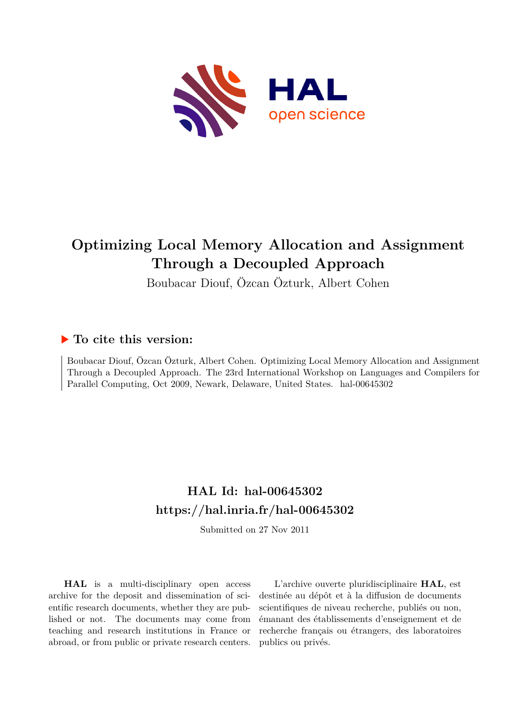

# **Optimizing Local Memory Allocation and Assignment Through a Decoupled Approach**

Boubacar Diouf, Özcan Özturk, Albert Cohen

# **To cite this version:**

Boubacar Diouf, Özcan Özturk, Albert Cohen. Optimizing Local Memory Allocation and Assignment Through a Decoupled Approach. The 23rd International Workshop on Languages and Compilers for Parallel Computing, Oct 2009, Newark, Delaware, United States. hal-00645302

# **HAL Id: hal-00645302 <https://hal.inria.fr/hal-00645302>**

Submitted on 27 Nov 2011

**HAL** is a multi-disciplinary open access archive for the deposit and dissemination of scientific research documents, whether they are published or not. The documents may come from teaching and research institutions in France or abroad, or from public or private research centers.

L'archive ouverte pluridisciplinaire **HAL**, est destinée au dépôt et à la diffusion de documents scientifiques de niveau recherche, publiés ou non, émanant des établissements d'enseignement et de recherche français ou étrangers, des laboratoires publics ou privés.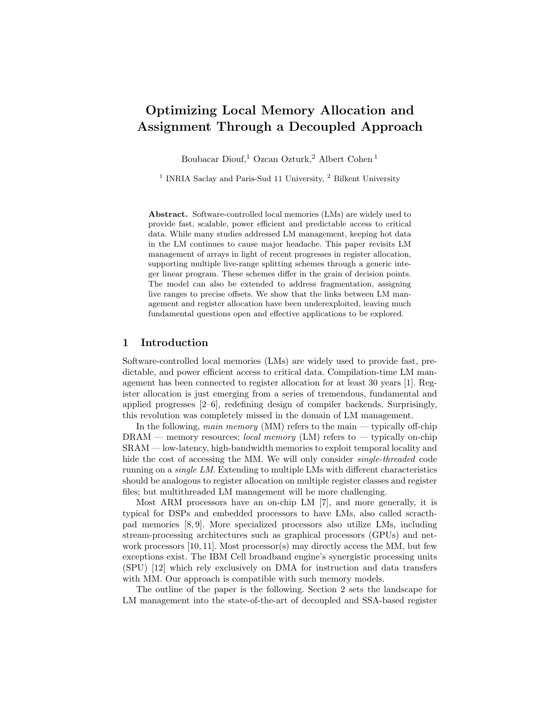# Optimizing Local Memory Allocation and Assignment Through a Decoupled Approach

Boubacar Diouf,<sup>1</sup> Ozcan Ozturk,<sup>2</sup> Albert Cohen <sup>1</sup>

 $^{\rm 1}$  INRIA Saclay and Paris-Sud 11 University,  $^{\rm 2}$  Bilkent University

Abstract. Software-controlled local memories (LMs) are widely used to provide fast, scalable, power efficient and predictable access to critical data. While many studies addressed LM management, keeping hot data in the LM continues to cause major headache. This paper revisits LM management of arrays in light of recent progresses in register allocation, supporting multiple live-range splitting schemes through a generic integer linear program. These schemes differ in the grain of decision points. The model can also be extended to address fragmentation, assigning live ranges to precise offsets. We show that the links between LM management and register allocation have been underexploited, leaving much fundamental questions open and effective applications to be explored.

#### 1 Introduction

Software-controlled local memories (LMs) are widely used to provide fast, predictable, and power efficient access to critical data. Compilation-time LM management has been connected to register allocation for at least 30 years [1]. Register allocation is just emerging from a series of tremendous, fundamental and applied progresses [2–6], redefining design of compiler backends. Surprisingly, this revolution was completely missed in the domain of LM management.

In the following, main memory  $(MM)$  refers to the main — typically off-chip  $DRAM$  — memory resources; *local memory* (LM) refers to — typically on-chip SRAM — low-latency, high-bandwidth memories to exploit temporal locality and hide the cost of accessing the MM. We will only consider *single-threaded* code running on a single LM. Extending to multiple LMs with different characteristics should be analogous to register allocation on multiple register classes and register files; but multithreaded LM management will be more challenging.

Most ARM processors have an on-chip LM [7], and more generally, it is typical for DSPs and embedded processors to have LMs, also called scracthpad memories [8, 9]. More specialized processors also utilize LMs, including stream-processing architectures such as graphical processors (GPUs) and network processors [10, 11]. Most processor(s) may directly access the MM, but few exceptions exist. The IBM Cell broadband engine's synergistic processing units (SPU) [12] which rely exclusively on DMA for instruction and data transfers with MM. Our approach is compatible with such memory models.

The outline of the paper is the following. Section 2 sets the landscape for LM management into the state-of-the-art of decoupled and SSA-based register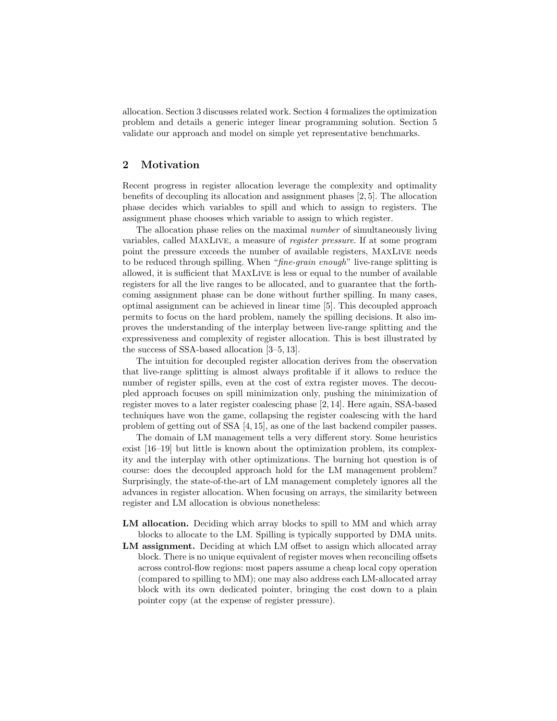allocation. Section 3 discusses related work. Section 4 formalizes the optimization problem and details a generic integer linear programming solution. Section 5 validate our approach and model on simple yet representative benchmarks.

## 2 Motivation

Recent progress in register allocation leverage the complexity and optimality benefits of decoupling its allocation and assignment phases [2, 5]. The allocation phase decides which variables to spill and which to assign to registers. The assignment phase chooses which variable to assign to which register.

The allocation phase relies on the maximal number of simultaneously living variables, called MaxLive, a measure of register pressure. If at some program point the pressure exceeds the number of available registers, MaxLive needs to be reduced through spilling. When "fine-grain enough" live-range splitting is allowed, it is sufficient that MaxLive is less or equal to the number of available registers for all the live ranges to be allocated, and to guarantee that the forthcoming assignment phase can be done without further spilling. In many cases, optimal assignment can be achieved in linear time [5]. This decoupled approach permits to focus on the hard problem, namely the spilling decisions. It also improves the understanding of the interplay between live-range splitting and the expressiveness and complexity of register allocation. This is best illustrated by the success of SSA-based allocation [3–5, 13].

The intuition for decoupled register allocation derives from the observation that live-range splitting is almost always profitable if it allows to reduce the number of register spills, even at the cost of extra register moves. The decoupled approach focuses on spill minimization only, pushing the minimization of register moves to a later register coalescing phase [2, 14]. Here again, SSA-based techniques have won the game, collapsing the register coalescing with the hard problem of getting out of SSA [4, 15], as one of the last backend compiler passes.

The domain of LM management tells a very different story. Some heuristics exist [16–19] but little is known about the optimization problem, its complexity and the interplay with other optimizations. The burning hot question is of course: does the decoupled approach hold for the LM management problem? Surprisingly, the state-of-the-art of LM management completely ignores all the advances in register allocation. When focusing on arrays, the similarity between register and LM allocation is obvious nonetheless:

- LM allocation. Deciding which array blocks to spill to MM and which array blocks to allocate to the LM. Spilling is typically supported by DMA units.
- LM assignment. Deciding at which LM offset to assign which allocated array block. There is no unique equivalent of register moves when reconciling offsets across control-flow regions: most papers assume a cheap local copy operation (compared to spilling to MM); one may also address each LM-allocated array block with its own dedicated pointer, bringing the cost down to a plain pointer copy (at the expense of register pressure).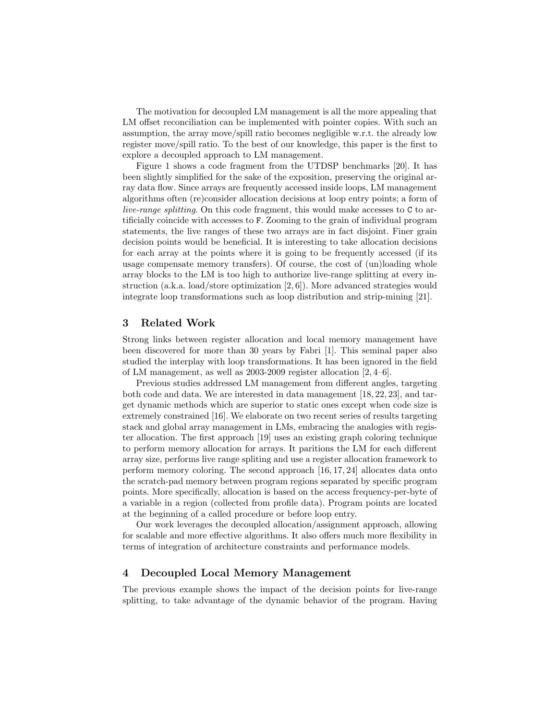The motivation for decoupled LM management is all the more appealing that LM offset reconciliation can be implemented with pointer copies. With such an assumption, the array move/spill ratio becomes negligible w.r.t. the already low register move/spill ratio. To the best of our knowledge, this paper is the first to explore a decoupled approach to LM management.

Figure 1 shows a code fragment from the UTDSP benchmarks [20]. It has been slightly simplified for the sake of the exposition, preserving the original array data flow. Since arrays are frequently accessed inside loops, LM management algorithms often (re)consider allocation decisions at loop entry points; a form of live-range splitting. On this code fragment, this would make accesses to C to artificially coincide with accesses to F. Zooming to the grain of individual program statements, the live ranges of these two arrays are in fact disjoint. Finer grain decision points would be beneficial. It is interesting to take allocation decisions for each array at the points where it is going to be frequently accessed (if its usage compensate memory transfers). Of course, the cost of (un)loading whole array blocks to the LM is too high to authorize live-range splitting at every instruction  $(a,k.a. load/store optimization [2, 6])$ . More advanced strategies would integrate loop transformations such as loop distribution and strip-mining [21].

## 3 Related Work

Strong links between register allocation and local memory management have been discovered for more than 30 years by Fabri [1]. This seminal paper also studied the interplay with loop transformations. It has been ignored in the field of LM management, as well as 2003-2009 register allocation [2, 4–6].

Previous studies addressed LM management from different angles, targeting both code and data. We are interested in data management [18, 22, 23], and target dynamic methods which are superior to static ones except when code size is extremely constrained [16]. We elaborate on two recent series of results targeting stack and global array management in LMs, embracing the analogies with register allocation. The first approach [19] uses an existing graph coloring technique to perform memory allocation for arrays. It paritions the LM for each different array size, performs live range spliting and use a register allocation framework to perform memory coloring. The second approach [16, 17, 24] allocates data onto the scratch-pad memory between program regions separated by specific program points. More specifically, allocation is based on the access frequency-per-byte of a variable in a region (collected from profile data). Program points are located at the beginning of a called procedure or before loop entry.

Our work leverages the decoupled allocation/assignment approach, allowing for scalable and more effective algorithms. It also offers much more flexibility in terms of integration of architecture constraints and performance models.

### 4 Decoupled Local Memory Management

The previous example shows the impact of the decision points for live-range splitting, to take advantage of the dynamic behavior of the program. Having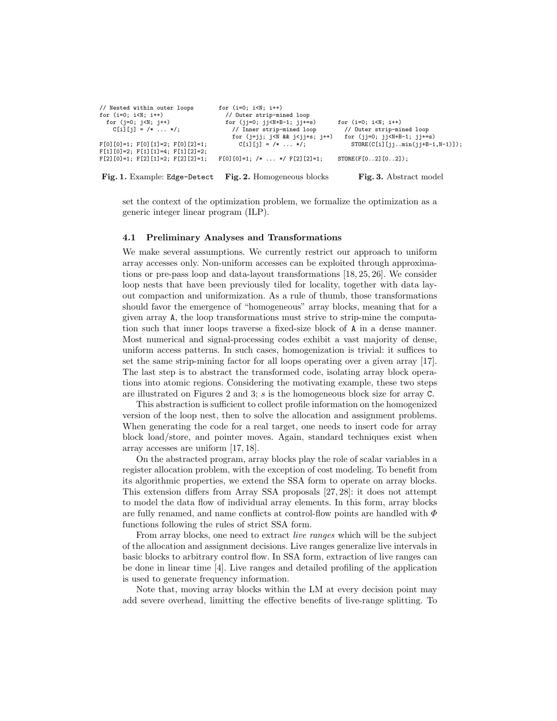| // Nested within outer loops<br>for (i=0; i <n; i++)<="" th=""><th>for <math>(i=0; i&lt; N; i++)</math><br/>// Outer strip-mined loop</th><th></th></n;> | for $(i=0; i< N; i++)$<br>// Outer strip-mined loop |                                   |
|----------------------------------------------------------------------------------------------------------------------------------------------------------|-----------------------------------------------------|-----------------------------------|
| for (j=0; j <n; j++)<="" td=""><td>for <math>(ij=0; jj<n+b-1; jj+="s)&lt;/math"></n+b-1;></math></td><td>for <math>(i=0; i&lt; N; i++)</math></td></n;>  | for $(ij=0; jj$                                     | for $(i=0; i< N; i++)$            |
|                                                                                                                                                          |                                                     |                                   |
| $C[i][i] = \frac{\kappa}{\kappa} \ldots \frac{\kappa}{\kappa}$                                                                                           | // Inner strip-mined loop                           | // Outer strip-mined loop         |
|                                                                                                                                                          | for $(i=ji; i\le N$ && $i\le i+1$ ; $i++$ )         | for $(ij=0; jj$                   |
| $F[0][0]=1; F[0][1]=2; F[0][2]=1;$                                                                                                                       | $C[i][i] = /*  */;$                                 | $STORE(C[i][ijmin(jj+B-1,N-1)]);$ |
| $F[1][0]=2; F[1][1]=4; F[1][2]=2;$                                                                                                                       |                                                     |                                   |
| $F[2][0]=1; F[2][1]=2; F[2][2]=1;$                                                                                                                       | $F[0][0]=1$ ; /*  */ $F[2][2]=1$ ;                  | $STORE(F[02][02])$ ;              |
|                                                                                                                                                          |                                                     |                                   |
|                                                                                                                                                          |                                                     |                                   |

Fig. 1. Example: Edge-Detect Fig. 2. Homogeneous blocks Fig. 3. Abstract model

set the context of the optimization problem, we formalize the optimization as a generic integer linear program (ILP).

#### 4.1 Preliminary Analyses and Transformations

We make several assumptions. We currently restrict our approach to uniform array accesses only. Non-uniform accesses can be exploited through approximations or pre-pass loop and data-layout transformations [18, 25, 26]. We consider loop nests that have been previously tiled for locality, together with data layout compaction and uniformization. As a rule of thumb, those transformations should favor the emergence of "homogeneous" array blocks, meaning that for a given array A, the loop transformations must strive to strip-mine the computation such that inner loops traverse a fixed-size block of A in a dense manner. Most numerical and signal-processing codes exhibit a vast majority of dense, uniform access patterns. In such cases, homogenization is trivial: it suffices to set the same strip-mining factor for all loops operating over a given array [17]. The last step is to abstract the transformed code, isolating array block operations into atomic regions. Considering the motivating example, these two steps are illustrated on Figures 2 and 3; s is the homogeneous block size for array C.

This abstraction is sufficient to collect profile information on the homogenized version of the loop nest, then to solve the allocation and assignment problems. When generating the code for a real target, one needs to insert code for array block load/store, and pointer moves. Again, standard techniques exist when array accesses are uniform [17, 18].

On the abstracted program, array blocks play the role of scalar variables in a register allocation problem, with the exception of cost modeling. To benefit from its algorithmic properties, we extend the SSA form to operate on array blocks. This extension differs from Array SSA proposals [27, 28]: it does not attempt to model the data flow of individual array elements. In this form, array blocks are fully renamed, and name conflicts at control-flow points are handled with  $\Phi$ functions following the rules of strict SSA form.

From array blocks, one need to extract *live ranges* which will be the subject of the allocation and assignment decisions. Live ranges generalize live intervals in basic blocks to arbitrary control flow. In SSA form, extraction of live ranges can be done in linear time [4]. Live ranges and detailed profiling of the application is used to generate frequency information.

Note that, moving array blocks within the LM at every decision point may add severe overhead, limitting the effective benefits of live-range splitting. To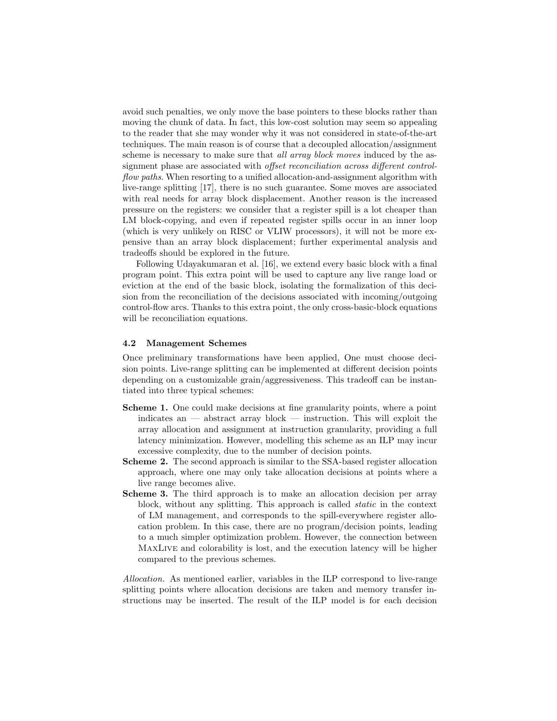avoid such penalties, we only move the base pointers to these blocks rather than moving the chunk of data. In fact, this low-cost solution may seem so appealing to the reader that she may wonder why it was not considered in state-of-the-art techniques. The main reason is of course that a decoupled allocation/assignment scheme is necessary to make sure that *all array block moves* induced by the assignment phase are associated with *offset reconciliation across different control*flow paths. When resorting to a unified allocation-and-assignment algorithm with live-range splitting [17], there is no such guarantee. Some moves are associated with real needs for array block displacement. Another reason is the increased pressure on the registers: we consider that a register spill is a lot cheaper than LM block-copying, and even if repeated register spills occur in an inner loop (which is very unlikely on RISC or VLIW processors), it will not be more expensive than an array block displacement; further experimental analysis and tradeoffs should be explored in the future.

Following Udayakumaran et al. [16], we extend every basic block with a final program point. This extra point will be used to capture any live range load or eviction at the end of the basic block, isolating the formalization of this decision from the reconciliation of the decisions associated with incoming/outgoing control-flow arcs. Thanks to this extra point, the only cross-basic-block equations will be reconciliation equations.

#### 4.2 Management Schemes

Once preliminary transformations have been applied, One must choose decision points. Live-range splitting can be implemented at different decision points depending on a customizable grain/aggressiveness. This tradeoff can be instantiated into three typical schemes:

- Scheme 1. One could make decisions at fine granularity points, where a point indicates an — abstract array block — instruction. This will exploit the array allocation and assignment at instruction granularity, providing a full latency minimization. However, modelling this scheme as an ILP may incur excessive complexity, due to the number of decision points.
- Scheme 2. The second approach is similar to the SSA-based register allocation approach, where one may only take allocation decisions at points where a live range becomes alive.
- Scheme 3. The third approach is to make an allocation decision per array block, without any splitting. This approach is called static in the context of LM management, and corresponds to the spill-everywhere register allocation problem. In this case, there are no program/decision points, leading to a much simpler optimization problem. However, the connection between MaxLive and colorability is lost, and the execution latency will be higher compared to the previous schemes.

Allocation. As mentioned earlier, variables in the ILP correspond to live-range splitting points where allocation decisions are taken and memory transfer instructions may be inserted. The result of the ILP model is for each decision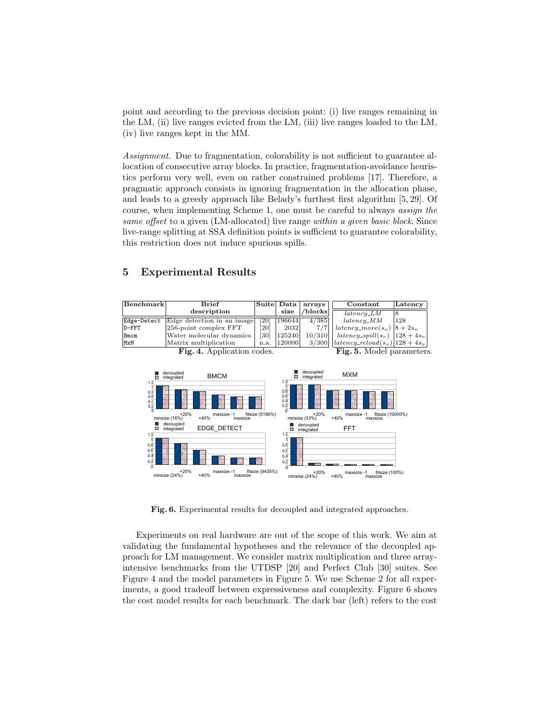point and according to the previous decision point: (i) live ranges remaining in the LM, (ii) live ranges evicted from the LM, (iii) live ranges loaded to the LM, (iv) live ranges kept in the MM.

Assignment. Due to fragmentation, colorability is not sufficient to guarantee allocation of consecutive array blocks. In practice, fragmentation-avoidance heuristics perform very well, even on rather constrained problems [17]. Therefore, a pragmatic approach consists in ignoring fragmentation in the allocation phase, and leads to a greedy approach like Belady's furthest first algorithm [5, 29]. Of course, when implementing Scheme 1, one must be careful to always assign the same offset to a given (LM-allocated) live range within a given basic block. Since live-range splitting at SSA definition points is sufficient to guarantee colorability, this restriction does not induce spurious spills.

## 5 Experimental Results

| Benchmark                         | <b>Brief</b>               |      | Suite Data | arrays     | Constant                                      | Latency |
|-----------------------------------|----------------------------|------|------------|------------|-----------------------------------------------|---------|
|                                   | description                |      | size       | $/b$ locks | $latency\_LM$                                 | 18      |
| Edge-Detect                       | Edge detection in an image | [20] | 196644     | 4/385      | $latency\_MM$                                 | 128     |
| $D - FFT$                         | 256-point complex FFT      | [20] | 2032       | 7/7        | $latency\_move(s_v)   8 + 2s_v$               |         |
| Bmcm                              | Water molecular dynamics   | [30] | 125240     | 10/310     | $latency\_spill(s_v)$   128 + 4s <sub>v</sub> |         |
| MxM                               | Matrix multiplication      | n.a. | 120000     | 3/300      | $ latency_{reload}(s_v) 128 + 4s_v $          |         |
| <b>Fig. 4.</b> Application codes. |                            |      |            |            | Fig. 5. Model parameters.                     |         |



Fig. 6. Experimental results for decoupled and integrated approaches.

Experiments on real hardware are out of the scope of this work. We aim at validating the fundamental hypotheses and the relevance of the decoupled approach for LM management. We consider matrix multiplication and three arrayintensive benchmarks from the UTDSP [20] and Perfect Club [30] suites. See Figure 4 and the model parameters in Figure 5. We use Scheme 2 for all experiments, a good tradeoff between expressiveness and complexity. Figure 6 shows the cost model results for each benchmark. The dark bar (left) refers to the cost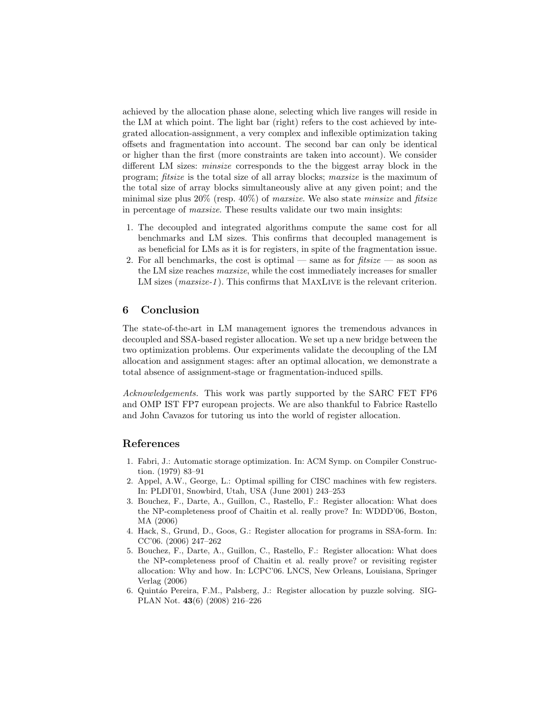achieved by the allocation phase alone, selecting which live ranges will reside in the LM at which point. The light bar (right) refers to the cost achieved by integrated allocation-assignment, a very complex and inflexible optimization taking offsets and fragmentation into account. The second bar can only be identical or higher than the first (more constraints are taken into account). We consider different LM sizes: minsize corresponds to the the biggest array block in the program; fitsize is the total size of all array blocks; maxsize is the maximum of the total size of array blocks simultaneously alive at any given point; and the minimal size plus  $20\%$  (resp.  $40\%$ ) of maxsize. We also state minsize and fitsize in percentage of maxsize. These results validate our two main insights:

- 1. The decoupled and integrated algorithms compute the same cost for all benchmarks and LM sizes. This confirms that decoupled management is as beneficial for LMs as it is for registers, in spite of the fragmentation issue.
- 2. For all benchmarks, the cost is optimal same as for  $\textit{fitsize}$  as soon as the LM size reaches maxsize, while the cost immediately increases for smaller LM sizes  $(maxsize-1)$ . This confirms that MAXLIVE is the relevant criterion.

### 6 Conclusion

The state-of-the-art in LM management ignores the tremendous advances in decoupled and SSA-based register allocation. We set up a new bridge between the two optimization problems. Our experiments validate the decoupling of the LM allocation and assignment stages: after an optimal allocation, we demonstrate a total absence of assignment-stage or fragmentation-induced spills.

Acknowledgements. This work was partly supported by the SARC FET FP6 and OMP IST FP7 european projects. We are also thankful to Fabrice Rastello and John Cavazos for tutoring us into the world of register allocation.

#### References

- 1. Fabri, J.: Automatic storage optimization. In: ACM Symp. on Compiler Construction. (1979) 83–91
- 2. Appel, A.W., George, L.: Optimal spilling for CISC machines with few registers. In: PLDI'01, Snowbird, Utah, USA (June 2001) 243–253
- 3. Bouchez, F., Darte, A., Guillon, C., Rastello, F.: Register allocation: What does the NP-completeness proof of Chaitin et al. really prove? In: WDDD'06, Boston, MA (2006)
- 4. Hack, S., Grund, D., Goos, G.: Register allocation for programs in SSA-form. In: CC'06. (2006) 247–262
- 5. Bouchez, F., Darte, A., Guillon, C., Rastello, F.: Register allocation: What does the NP-completeness proof of Chaitin et al. really prove? or revisiting register allocation: Why and how. In: LCPC'06. LNCS, New Orleans, Louisiana, Springer Verlag (2006)
- 6. Quint´ao Pereira, F.M., Palsberg, J.: Register allocation by puzzle solving. SIG-PLAN Not. 43(6) (2008) 216–226